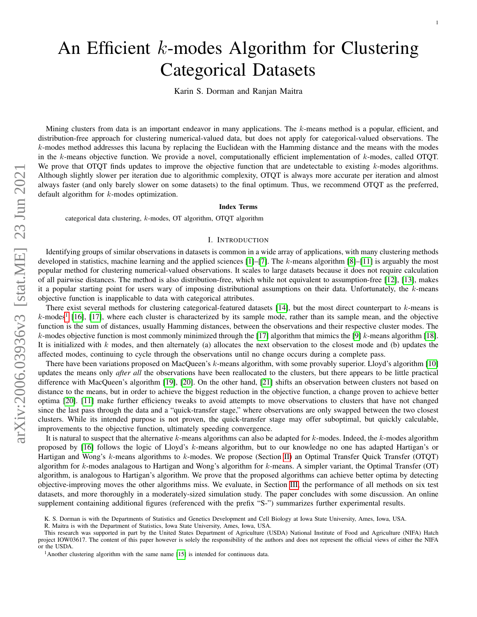# An Efficient k-modes Algorithm for Clustering Categorical Datasets

Karin S. Dorman and Ranjan Maitra

Mining clusters from data is an important endeavor in many applications. The k-means method is a popular, efficient, and distribution-free approach for clustering numerical-valued data, but does not apply for categorical-valued observations. The k-modes method addresses this lacuna by replacing the Euclidean with the Hamming distance and the means with the modes in the  $k$ -means objective function. We provide a novel, computationally efficient implementation of  $k$ -modes, called OTQT. We prove that  $\overline{OTQT}$  finds updates to improve the objective function that are undetectable to existing  $k$ -modes algorithms. Although slightly slower per iteration due to algorithmic complexity, OTQT is always more accurate per iteration and almost always faster (and only barely slower on some datasets) to the final optimum. Thus, we recommend OTQT as the preferred, default algorithm for *k*-modes optimization.

# Index Terms

categorical data clustering, k-modes, OT algorithm, OTQT algorithm

# I. INTRODUCTION

Identifying groups of similar observations in datasets is common in a wide array of applications, with many clustering methods developed in statistics, machine learning and the applied sciences  $[1]-[7]$  $[1]-[7]$  $[1]-[7]$ . The k-means algorithm  $[8]-[11]$  $[8]-[11]$  $[8]-[11]$  is arguably the most popular method for clustering numerical-valued observations. It scales to large datasets because it does not require calculation of all pairwise distances. The method is also distribution-free, which while not equivalent to assumption-free [\[12\]](#page-12-3), [\[13\]](#page-13-0), makes it a popular starting point for users wary of imposing distributional assumptions on their data. Unfortunately, the  $k$ -means objective function is inapplicable to data with categorical attributes.

There exist several methods for clustering categorical-featured datasets  $[14]$ , but the most direct counterpart to  $k$ -means is  $k$ -modes<sup>[1](#page-0-0)</sup> [\[16\]](#page-13-2), [\[17\]](#page-14-0), where each cluster is characterized by its sample mode, rather than its sample mean, and the objective function is the sum of distances, usually Hamming distances, between the observations and their respective cluster modes. The k-modes objective function is most commonly minimized through the [\[17\]](#page-14-0) algorithm that mimics the [\[9\]](#page-12-4) k-means algorithm [\[18\]](#page-14-1). It is initialized with k modes, and then alternately (a) allocates the next observation to the closest mode and (b) updates the affected modes, continuing to cycle through the observations until no change occurs during a complete pass.

There have been variations proposed on MacQueen's k-means algorithm, with some provably superior. Lloyd's algorithm [\[10\]](#page-12-5) updates the means only *after all* the observations have been reallocated to the clusters, but there appears to be little practical difference with MacQueen's algorithm [\[19\]](#page-14-2), [\[20\]](#page-14-3). On the other hand, [\[21\]](#page-14-4) shifts an observation between clusters not based on distance to the means, but in order to achieve the biggest reduction in the objective function, a change proven to achieve better optima [\[20\]](#page-14-3). [\[11\]](#page-12-2) make further efficiency tweaks to avoid attempts to move observations to clusters that have not changed since the last pass through the data and a "quick-transfer stage," where observations are only swapped between the two closest clusters. While its intended purpose is not proven, the quick-transfer stage may offer suboptimal, but quickly calculable, improvements to the objective function, ultimately speeding convergence.

It is natural to suspect that the alternative k-means algorithms can also be adapted for  $k$ -modes. Indeed, the  $k$ -modes algorithm proposed by [\[16\]](#page-13-2) follows the logic of Lloyd's k-means algorithm, but to our knowledge no one has adapted Hartigan's or Hartigan and Wong's k-means algorithms to k-modes. We propose (Section [II\)](#page-1-0) an Optimal Transfer Quick Transfer (OTQT) algorithm for  $k$ -modes analagous to Hartigan and Wong's algorithm for  $k$ -means. A simpler variant, the Optimal Transfer (OT) algorithm, is analogous to Hartigan's algorithm. We prove that the proposed algorithms can achieve better optima by detecting objective-improving moves the other algorithms miss. We evaluate, in Section [III,](#page-5-0) the performance of all methods on six test datasets, and more thoroughly in a moderately-sized simulation study. The paper concludes with some discussion. An online supplement containing additional figures (referenced with the prefix "S-") summarizes further experimental results.

K. S. Dorman is with the Departments of Statistics and Genetics Development and Cell Biology at Iowa State University, Ames, Iowa, USA.

R. Maitra is with the Department of Statistics, Iowa State University, Ames, Iowa, USA.

This research was supported in part by the United States Department of Agriculture (USDA) National Institute of Food and Agriculture (NIFA) Hatch project IOW03617. The content of this paper however is solely the responsibility of the authors and does not represent the official views of either the NIFA or the USDA.

<span id="page-0-0"></span><sup>&</sup>lt;sup>1</sup>Another clustering algorithm with the same name  $[15]$  is intended for continuous data.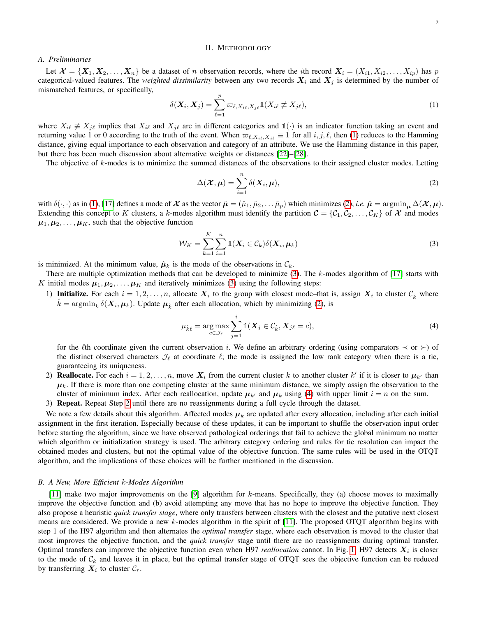## II. METHODOLOGY

# <span id="page-1-0"></span>*A. Preliminaries*

Let  $\mathcal{X} = \{X_1, X_2, \ldots, X_n\}$  be a dataset of n observation records, where the *i*th record  $X_i = (X_{i1}, X_{i2}, \ldots, X_{ip})$  has p categorical-valued features. The *weighted dissimilarity* between any two records  $X_i$  and  $X_j$  is determined by the number of mismatched features, or specifically,

<span id="page-1-1"></span>
$$
\delta(\boldsymbol{X}_i, \boldsymbol{X}_j) = \sum_{\ell=1}^p \varpi_{\ell, X_{i\ell}, X_{j\ell}} \mathbb{1}(X_{i\ell} \not\equiv X_{j\ell}),
$$
\n(1)

where  $X_{i\ell} \neq X_{j\ell}$  implies that  $X_{i\ell}$  and  $X_{j\ell}$  are in different categories and  $\mathbb{1}(\cdot)$  is an indicator function taking an event and returning value 1 or 0 according to the truth of the event. When  $\varpi_{\ell,X_{i\ell},X_{j\ell}} \equiv 1$  for all  $i, j, \ell$ , then [\(1\)](#page-1-1) reduces to the Hamming distance, giving equal importance to each observation and category of an attribute. We use the Hamming distance in this paper, but there has been much discussion about alternative weights or distances [\[22\]](#page-14-5)–[\[28\]](#page-14-6).

The objective of k-modes is to minimize the summed distances of the observations to their assigned cluster modes. Letting

<span id="page-1-2"></span>
$$
\Delta(\boldsymbol{\mathcal{X}}, \boldsymbol{\mu}) = \sum_{i=1}^{n} \delta(\boldsymbol{X}_i, \boldsymbol{\mu}),
$$
\n(2)

with  $\delta(\cdot, \cdot)$  as in [\(1\)](#page-1-1), [\[17\]](#page-14-0) defines a mode of  $\mathcal X$  as the vector  $\hat \mu = (\hat \mu_1, \hat \mu_2, \dots, \hat \mu_p)$  which minimizes [\(2\)](#page-1-2), *i.e.*  $\hat \mu = \operatorname{argmin}_{\mu} \Delta(\mathcal X, \mu)$ . Extending this concept to K clusters, a k-modes algorithm must identify the partition  $C = \{C_1, C_2, \ldots, C_K\}$  of X and modes  $\mu_1, \mu_2, \ldots, \mu_K$ , such that the objective function

<span id="page-1-3"></span>
$$
\mathcal{W}_K = \sum_{k=1}^K \sum_{i=1}^n \mathbb{1}(X_i \in \mathcal{C}_k) \delta(X_i, \mu_k)
$$
\n(3)

is minimized. At the minimum value,  $\hat{\mu}_k$  is the mode of the observations in  $\mathcal{C}_k$ .

There are multiple optimization methods that can be developed to minimize  $(3)$ . The k-modes algorithm of  $[17]$  starts with K initial modes  $\mu_1, \mu_2, \ldots, \mu_K$  and iteratively minimizes [\(3\)](#page-1-3) using the following steps:

1) Initialize. For each  $i = 1, 2, ..., n$ , allocate  $X_i$  to the group with closest mode-that is, assign  $X_i$  to cluster  $\mathcal{C}_{\hat{k}}$  where  $\hat{k} = \operatorname{argmin}_{k} \delta(\bm{X}_i, \bm{\mu}_k)$ . Update  $\bm{\mu}_{\hat{k}}$  after each allocation, which by minimizing [\(2\)](#page-1-2), is

<span id="page-1-4"></span>
$$
\mu_{\hat{k}\ell} = \underset{c \in \mathcal{J}_{\ell}}{\arg \max} \sum_{j=1}^{i} \mathbb{1}(\boldsymbol{X}_j \in \mathcal{C}_{\hat{k}}, \boldsymbol{X}_{j\ell} = c), \tag{4}
$$

for the  $\ell$ th coordinate given the current observation i. We define an arbitrary ordering (using comparators  $\prec$  or  $\succ$ ) of the distinct observed characters  $\mathcal{I}_{\ell}$  at coordinate  $\ell$ ; the mode is assigned the low rank category when there is a tie, guaranteeing its uniqueness.

- <span id="page-1-5"></span>2) **Reallocate.** For each  $i = 1, 2, ..., n$ , move  $X_i$  from the current cluster k to another cluster k' if it is closer to  $\mu_{k'}$  than  $\mu_k$ . If there is more than one competing cluster at the same minimum distance, we simply assign the observation to the cluster of minimum index. After each reallocation, update  $\mu_{k'}$  and  $\mu_k$  using [\(4\)](#page-1-4) with upper limit  $i = n$  on the sum.
- 3) Repeat. Repeat Step [2](#page-1-5) until there are no reassignments during a full cycle through the dataset.

We note a few details about this algorithm. Affected modes  $\mu_k$  are updated after every allocation, including after each initial assignment in the first iteration. Especially because of these updates, it can be important to shuffle the observation input order before starting the algorithm, since we have observed pathological orderings that fail to achieve the global minimum no matter which algorithm or initialization strategy is used. The arbitrary category ordering and rules for tie resolution can impact the obtained modes and clusters, but not the optimal value of the objective function. The same rules will be used in the OTQT algorithm, and the implications of these choices will be further mentioned in the discussion.

#### *B. A New, More Efficient* k*-Modes Algorithm*

[\[11\]](#page-12-2) make two major improvements on the [\[9\]](#page-12-4) algorithm for k-means. Specifically, they (a) choose moves to maximally improve the objective function and (b) avoid attempting any move that has no hope to improve the objective function. They also propose a heuristic *quick transfer stage*, where only transfers between clusters with the closest and the putative next closest means are considered. We provide a new k-modes algorithm in the spirit of [\[11\]](#page-12-2). The proposed OTQT algorithm begins with step 1 of the H97 algorithm and then alternates the *optimal transfer* stage, where each observation is moved to the cluster that most improves the objective function, and the *quick transfer* stage until there are no reassignments during optimal transfer. Optimal transfers can improve the objective function even when H97 *reallocation* cannot. In Fig. [1,](#page-2-0) H97 detects  $X_i$  is closer to the mode of  $C_k$  and leaves it in place, but the optimal transfer stage of OTQT sees the objective function can be reduced by transferring  $X_i$  to cluster  $\mathcal{C}_r$ .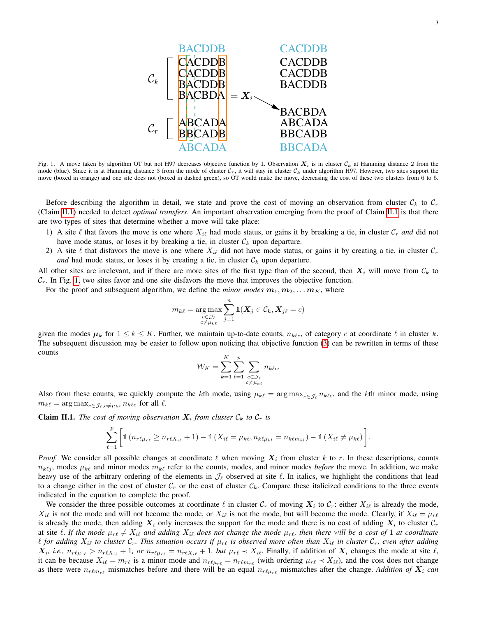

<span id="page-2-0"></span>Fig. 1. A move taken by algorithm OT but not H97 decreases objective function by 1. Observation  $X_i$  is in cluster  $C_k$  at Hamming distance 2 from the mode (blue). Since it is at Hamming distance 3 from the mode of cluster  $C_r$ , it will stay in cluster  $C_k$  under algorithm H97. However, two sites support the move (boxed in orange) and one site does not (boxed in dashed green), so OT would make the move, decreasing the cost of these two clusters from 6 to 5.

Before describing the algorithm in detail, we state and prove the cost of moving an observation from cluster  $\mathcal{C}_k$  to  $\mathcal{C}_r$ (Claim [II.1\)](#page-2-1) needed to detect *optimal transfers*. An important observation emerging from the proof of Claim [II.1](#page-2-1) is that there are two types of sites that determine whether a move will take place:

- 1) A site  $\ell$  that favors the move is one where  $X_{i\ell}$  had mode status, or gains it by breaking a tie, in cluster  $C_r$  *and* did not have mode status, or loses it by breaking a tie, in cluster  $\mathcal{C}_k$  upon departure.
- 2) A site  $\ell$  that disfavors the move is one where  $X_{i\ell}$  did not have mode status, or gains it by creating a tie, in cluster  $C_r$ *and* had mode status, or loses it by creating a tie, in cluster  $\mathcal{C}_k$  upon departure.

All other sites are irrelevant, and if there are more sites of the first type than of the second, then  $X_i$  will move from  $C_k$  to  $C_r$ . In Fig. [1,](#page-2-0) two sites favor and one site disfavors the move that improves the objective function.

For the proof and subsequent algorithm, we define the *minor modes*  $m_1, m_2, \ldots, m_K$ , where

$$
m_{k\ell} = \argmax_{\substack{c \in \mathcal{J}_{\ell} \\ c \neq \mu_{k\ell}}} \sum_{j=1}^n \mathbb{1}(\boldsymbol{X}_j \in \mathcal{C}_k, \boldsymbol{X}_{j\ell} = c)
$$

given the modes  $\mu_k$  for  $1 \le k \le K$ . Further, we maintain up-to-date counts,  $n_{k\ell c}$ , of category c at coordinate  $\ell$  in cluster k. The subsequent discussion may be easier to follow upon noticing that objective function [\(3\)](#page-1-3) can be rewritten in terms of these counts

$$
\mathcal{W}_K = \sum_{k=1}^K \sum_{\ell=1}^p \sum_{\substack{c \in \mathcal{J}_\ell \\ c \neq \mu_k \ell}} n_{k\ell c}.
$$

Also from these counts, we quickly compute the kth mode, using  $\mu_{k\ell} = \arg \max_{c \in \mathcal{J}_{\ell}} n_{k\ell c}$ , and the kth minor mode, using  $m_{k\ell} = \arg \max_{c \in \mathcal{J}_{\ell}, c \neq \mu_{k\ell}} n_{k\ell c}$  for all  $\ell$ .

<span id="page-2-1"></span>**Claim II.1.** The cost of moving observation  $X_i$  from cluster  $\mathcal{C}_k$  to  $\mathcal{C}_r$  is

$$
\sum_{\ell=1}^p \left[ \mathbb{1} \left( n_{r\ell\mu_{r\ell}} \ge n_{r\ell X_{i\ell}} + 1 \right) - \mathbb{1} \left( X_{i\ell} = \mu_{k\ell}, n_{k\ell\mu_{k\ell}} = n_{k\ell m_{k\ell}} \right) - \mathbb{1} \left( X_{i\ell} \ne \mu_{k\ell} \right) \right].
$$

*Proof.* We consider all possible changes at coordinate  $\ell$  when moving  $X_i$  from cluster k to r. In these descriptions, counts  $n_{k\ell j}$ , modes  $\mu_{k\ell}$  and minor modes  $m_{k\ell}$  refer to the counts, modes, and minor modes *before* the move. In addition, we make heavy use of the arbitrary ordering of the elements in  $\mathcal{J}_\ell$  observed at site  $\ell$ . In italics, we highlight the conditions that lead to a change either in the cost of cluster  $C_r$  or the cost of cluster  $C_k$ . Compare these italicized conditions to the three events indicated in the equation to complete the proof.

We consider the three possible outcomes at coordinate  $\ell$  in cluster  $C_r$  of moving  $X_i$  to  $C_r$ : either  $X_{i\ell}$  is already the mode,  $X_{i\ell}$  is not the mode and will not become the mode, or  $X_{i\ell}$  is not the mode, but will become the mode. Clearly, if  $X_{i\ell} = \mu_{r\ell}$ is already the mode, then adding  $X_i$  only increases the support for the mode and there is no cost of adding  $X_i$  to cluster  $C_r$ at site  $\ell$ . If the mode  $\mu_{r\ell} \neq X_{i\ell}$  and adding  $X_{i\ell}$  does not change the mode  $\mu_{r\ell}$ , then there will be a cost of 1 at coordinate  $\ell$  for adding  $X_{i\ell}$  to cluster  $\mathcal{C}_r$ . This situation occurs if  $\mu_{r\ell}$  is observed more often than  $X_{i\ell}$  in cluster  $\mathcal{C}_r$ , even after adding  $X_i$ , *i.e.*,  $n_{r\ell\mu_{r\ell}} > n_{r\ell X_{i\ell}} + 1$ , or  $n_{r\ell\mu_{r\ell}} = n_{r\ell X_{i\ell}} + 1$ , but  $\mu_{r\ell} \prec X_{i\ell}$ . Finally, if addition of  $X_i$  changes the mode at site  $\ell$ , it can be because  $X_{i\ell} = m_{r\ell}$  is a minor mode and  $n_{r\ell\mu_{r\ell}} = n_{r\ell m_{r\ell}}$  (with ordering  $\mu_{r\ell} \prec X_{i\ell}$ ), and the cost does not change as there were  $n_{r\ell m_{rf}}$  mismatches before and there will be an equal  $n_{r\ell\mu_{rf}}$  mismatches after the change. *Addition of*  $X_i$  *can*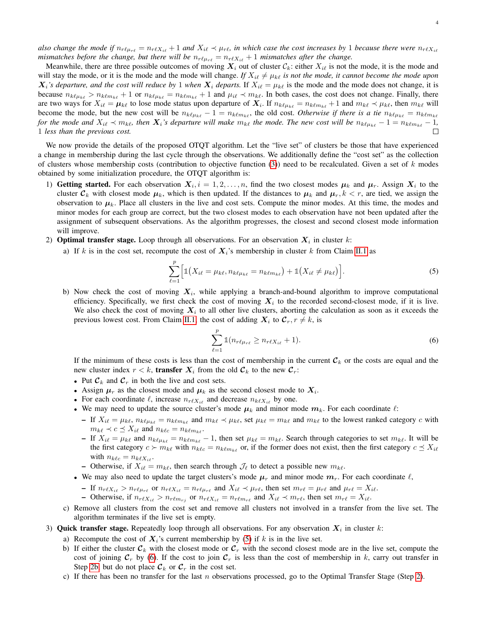*also change the mode if*  $n_{r\ell\mu_{r\ell}} = n_{r\ell X_{i\ell}} + 1$  *and*  $X_{i\ell} \prec \mu_{r\ell}$ , *in which case the cost increases by* 1 *because there were*  $n_{r\ell X_{i\ell}}$ *mismatches before the change, but there will be*  $n_{r\ell\mu_{r\ell}} = n_{r\ell X_{i\ell}} + 1$  *mismatches after the change.* 

Meanwhile, there are three possible outcomes of moving  $X_i$  out of cluster  $\mathcal{C}_k$ : either  $X_i \ell$  is not the mode, it is the mode and will stay the mode, or it is the mode and the mode will change. If  $X_{i\ell} \neq \mu_{k\ell}$  *is not the mode, it cannot become the mode upon*  $X_i$ 's departure, and the cost will reduce by 1 when  $X_i$  departs. If  $X_i \in \mu_{k\ell}$  is the mode and the mode does not change, it is because  $n_{k\ell\mu_{k\ell}} > n_{k\ell m_{k\ell}} + 1$  or  $n_{k\ell\mu_{k\ell}} = n_{k\ell m_{k\ell}} + 1$  and  $\mu_{i\ell} \prec m_{k\ell}$ . In both cases, the cost does not change. Finally, there are two ways for  $X_{i\ell} = \mu_{k\ell}$  to lose mode status upon departure of  $X_i$ . If  $n_{k\ell\mu_{k\ell}} = n_{k\ell m_{k\ell}} + 1$  and  $m_{k\ell} \prec \mu_{k\ell}$ , then  $m_{k\ell}$  will become the mode, but the new cost will be  $n_{k\ell\mu_{k\ell}} - 1 = n_{k\ell m_{k\ell}}$ , the old cost. *Otherwise if there is a tie*  $n_{k\ell\mu_{k\ell}} = n_{k\ell m_{k\ell}}$ *for the mode and*  $X_{i\ell} \prec m_{k\ell}$ , then  $X_i$ 's departure will make  $m_{k\ell}$  the mode. The new cost will be  $n_{k\ell\mu_{k\ell}} - 1 = n_{k\ell m_{k\ell}} - 1$ , 1 *less than the previous cost.*  $\Box$ 

We now provide the details of the proposed OTQT algorithm. Let the "live set" of clusters be those that have experienced a change in membership during the last cycle through the observations. We additionally define the "cost set" as the collection of clusters whose membership costs (contribution to objective function [\(3\)](#page-1-3)) need to be recalculated. Given a set of  $k$  modes obtained by some initialization procedure, the OTQT algorithm is:

- 1) Getting started. For each observation  $X_i$ ,  $i = 1, 2, ..., n$ , find the two closest modes  $\mu_k$  and  $\mu_r$ . Assign  $X_i$  to the cluster  $\mathcal{C}_k$  with closest mode  $\mu_k$ , which is then updated. If the distances to  $\mu_k$  and  $\mu_r$ ,  $k < r$ , are tied, we assign the observation to  $\mu_k$ . Place all clusters in the live and cost sets. Compute the minor modes. At this time, the modes and minor modes for each group are correct, but the two closest modes to each observation have not been updated after the assignment of subsequent observations. As the algorithm progresses, the closest and second closest mode information will improve.
- <span id="page-3-3"></span>2) **Optimal transfer stage.** Loop through all observations. For an observation  $X_i$  in cluster k:
	- a) If k is in the cost set, recompute the cost of  $X_i$ 's membership in cluster k from Claim [II.1](#page-2-1) as

<span id="page-3-0"></span>
$$
\sum_{\ell=1}^{p} \Big[ \mathbb{1} \big( X_{i\ell} = \mu_{k\ell}, n_{k\ell\mu_{k\ell}} = n_{k\ell m_{k\ell}} \big) + \mathbb{1} \big( X_{i\ell} \neq \mu_{k\ell} \big) \Big]. \tag{5}
$$

<span id="page-3-2"></span>b) Now check the cost of moving  $X_i$ , while applying a branch-and-bound algorithm to improve computational efficiency. Specifically, we first check the cost of moving  $X_i$  to the recorded second-closest mode, if it is live. We also check the cost of moving  $X_i$  to all other live clusters, aborting the calculation as soon as it exceeds the previous lowest cost. From Claim [II.1,](#page-2-1) the cost of adding  $X_i$  to  $\mathcal{C}_r, r \neq k$ , is

$$
\sum_{\ell=1}^{p} \mathbb{1}(n_{r\ell\mu_{r\ell}} \ge n_{r\ell X_{i\ell}} + 1).
$$
 (6)

<span id="page-3-1"></span>If the minimum of these costs is less than the cost of membership in the current  $\mathcal{C}_k$  or the costs are equal and the new cluster index  $r < k$ , **transfer**  $X_i$  from the old  $\mathcal{C}_k$  to the new  $\mathcal{C}_r$ :

- Put  $\mathcal{C}_k$  and  $\mathcal{C}_r$  in both the live and cost sets.
- Assign  $\mu_r$  as the closest mode and  $\mu_k$  as the second closest mode to  $X_i$ .
- For each coordinate  $\ell$ , increase  $n_{r\ell X_{i\ell}}$  and decrease  $n_{k\ell X_{i\ell}}$  by one.
- We may need to update the source cluster's mode  $\mu_k$  and minor mode  $m_k$ . For each coordinate  $\ell$ :
	- If  $X_{i\ell} = \mu_{k\ell}, n_{k\ell\mu_{k\ell}} = n_{k\ell m_{k\ell}}$  and  $m_{k\ell} \prec \mu_{k\ell}$ , set  $\mu_{k\ell} = m_{k\ell}$  and  $m_{k\ell}$  to the lowest ranked category c with  $m_{k\ell} \prec c \preceq X_{i\ell}$  and  $n_{k\ell c} = n_{k\ell m_{k\ell}}$ .
	- If  $X_{i\ell} = \mu_{k\ell}$  and  $n_{k\ell\mu_{k\ell}} = n_{k\ell m_{k\ell}} 1$ , then set  $\mu_{k\ell} = m_{k\ell}$ . Search through categories to set  $m_{k\ell}$ . It will be the first category  $c \succ m_{k\ell}$  with  $n_{k\ell c} = n_{k\ell m_{k\ell}}$  or, if the former does not exist, then the first category  $c \preceq X_{i\ell}$ with  $n_{k\ell c} = n_{k\ell X_{i\ell}}$ .
	- Otherwise, if  $X_{i\ell} = m_{k\ell}$ , then search through  $\mathcal{J}_{\ell}$  to detect a possible new  $m_{k\ell}$ .
- We may also need to update the target clusters's mode  $\mu_r$  and minor mode  $m_r$ . For each coordinate  $\ell$ ,
	- If  $n_{r\ell X_{i\ell}} > n_{r\ell\mu_{r\ell}}$  or  $n_{r\ell X_{i\ell}} = n_{r\ell\mu_{r\ell}}$  and  $X_{i\ell} \prec \mu_{r\ell}$ , then set  $m_{r\ell} = \mu_{r\ell}$  and  $\mu_{r\ell} = X_{i\ell}$ .
	- Otherwise, if  $n_{r\ell X_{i\ell}} > n_{r\ell m_{r\ell}}$  or  $n_{r\ell X_{i\ell}} = n_{r\ell m_{r\ell}}$  and  $X_{i\ell} \prec m_{r\ell}$ , then set  $m_{r\ell} = X_{i\ell}$ .
- c) Remove all clusters from the cost set and remove all clusters not involved in a transfer from the live set. The algorithm terminates if the live set is empty.
- 3) Quick transfer stage. Repeatedly loop through all observations. For any observation  $X_i$  in cluster k:
	- a) Recompute the cost of  $X_i$ 's current membership by [\(5\)](#page-3-0) if k is in the live set.
	- b) If either the cluster  $\mathcal{C}_k$  with the closest mode or  $\mathcal{C}_r$  with the second closest mode are in the live set, compute the cost of joining  $C_r$  by [\(6\)](#page-3-1). If the cost to join  $C_r$  is less than the cost of membership in k, carry out transfer in Step [2b,](#page-3-2) but do not place  $\mathcal{C}_k$  or  $\mathcal{C}_r$  in the cost set.
	- c) If there has been no transfer for the last  $n$  observations processed, go to the Optimal Transfer Stage (Step [2\)](#page-3-3).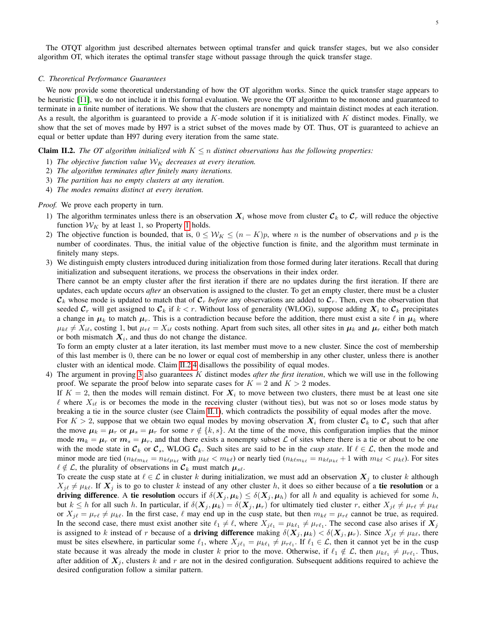The OTQT algorithm just described alternates between optimal transfer and quick transfer stages, but we also consider algorithm OT, which iterates the optimal transfer stage without passage through the quick transfer stage.

# <span id="page-4-4"></span>*C. Theoretical Performance Guarantees*

We now provide some theoretical understanding of how the OT algorithm works. Since the quick transfer stage appears to be heuristic [\[11\]](#page-12-2), we do not include it in this formal evaluation. We prove the OT algorithm to be monotone and guaranteed to terminate in a finite number of iterations. We show that the clusters are nonempty and maintain distinct modes at each iteration. As a result, the algorithm is guaranteed to provide a  $K$ -mode solution if it is initialized with  $K$  distinct modes. Finally, we show that the set of moves made by H97 is a strict subset of the moves made by OT. Thus, OT is guaranteed to achieve an equal or better update than H97 during every iteration from the same state.

# <span id="page-4-1"></span>**Claim II.2.** *The OT algorithm initialized with*  $K \leq n$  *distinct observations has the following properties:*

- <span id="page-4-0"></span>1) The objective function value  $W_K$  decreases at every iteration.
- 2) *The algorithm terminates after finitely many iterations.*
- <span id="page-4-3"></span>3) *The partition has no empty clusters at any iteration.*
- <span id="page-4-2"></span>4) *The modes remains distinct at every iteration.*

# *Proof.* We prove each property in turn.

- 1) The algorithm terminates unless there is an observation  $X_i$  whose move from cluster  $\mathcal{C}_k$  to  $\mathcal{C}_r$  will reduce the objective function  $W_K$  by at least [1](#page-4-0), so Property 1 holds.
- 2) The objective function is bounded, that is,  $0 \leq W_K \leq (n K)p$ , where n is the number of observations and p is the number of coordinates. Thus, the initial value of the objective function is finite, and the algorithm must terminate in finitely many steps.
- 3) We distinguish empty clusters introduced during initialization from those formed during later iterations. Recall that during initialization and subsequent iterations, we process the observations in their index order.

There cannot be an empty cluster after the first iteration if there are no updates during the first iteration. If there are updates, each update occurs *after* an observation is assigned to the cluster. To get an empty cluster, there must be a cluster  $\mathcal{C}_k$  whose mode is updated to match that of  $\mathcal{C}_r$  *before* any observations are added to  $\mathcal{C}_r$ . Then, even the observation that seeded  $C_r$  will get assigned to  $C_k$  if  $k < r$ . Without loss of generality (WLOG), suppose adding  $X_i$  to  $C_k$  precipitates a change in  $\mu_k$  to match  $\mu_r$ . This is a contradiction because before the addition, there must exist a site  $\ell$  in  $\mu_k$  where  $\mu_{k\ell} \neq X_{i\ell}$ , costing 1, but  $\mu_{r\ell} = X_{i\ell}$  costs nothing. Apart from such sites, all other sites in  $\mu_k$  and  $\mu_r$  either both match or both mismatch  $X_i$ , and thus do not change the distance.

To form an empty cluster at a later iteration, its last member must move to a new cluster. Since the cost of membership of this last member is 0, there can be no lower or equal cost of membership in any other cluster, unless there is another cluster with an identical mode. Claim [II.2.](#page-4-1)[4](#page-4-2) disallows the possibility of equal modes.

4) The argument in proving [3](#page-4-3) also guarantees K distinct modes *after the first iteration*, which we will use in the following proof. We separate the proof below into separate cases for  $K = 2$  and  $K > 2$  modes.

If  $K = 2$ , then the modes will remain distinct. For  $X_i$  to move between two clusters, there must be at least one site  $\ell$  where  $X_{i\ell}$  is or becomes the mode in the receiving cluster (without ties), but was not so or loses mode status by breaking a tie in the source cluster (see Claim [II.1\)](#page-2-1), which contradicts the possibility of equal modes after the move.

For  $K > 2$ , suppose that we obtain two equal modes by moving observation  $X_i$  from cluster  $\mathcal{C}_k$  to  $\mathcal{C}_s$  such that after the move  $\mu_k = \mu_r$  or  $\mu_s = \mu_r$  for some  $r \notin \{k, s\}$ . At the time of the move, this configuration implies that the minor mode  $m_k = \mu_r$  or  $m_s = \mu_r$ , and that there exists a nonempty subset  $\mathcal L$  of sites where there is a tie or about to be one with the mode state in  $\mathcal{C}_k$  or  $\mathcal{C}_s$ , WLOG  $\mathcal{C}_k$ . Such sites are said to be in the *cusp state*. If  $\ell \in \mathcal{L}$ , then the mode and minor mode are tied  $(n_{k\ell m_{k\ell}} = n_{k\ell\mu_{k\ell}}$  with  $\mu_{k\ell} < m_{k\ell}$ ) or nearly tied  $(n_{k\ell m_{k\ell}} = n_{k\ell\mu_{k\ell}} + 1$  with  $m_{k\ell} < \mu_{k\ell}$ ). For sites  $\ell \notin \mathcal{L}$ , the plurality of observations in  $\mathcal{C}_k$  must match  $\mu_{s\ell}$ .

To create the cusp state at  $\ell \in \mathcal{L}$  in cluster k during initialization, we must add an observation  $X_i$  to cluster k although  $X_{i\ell} \neq \mu_{k\ell}$ . If  $X_i$  is to go to cluster k instead of any other cluster h, it does so either because of a tie resolution or a driving difference. A tie resolution occurs if  $\delta(X_j, \mu_k) \leq \delta(X_j, \mu_k)$  for all h and equality is achieved for some h, but  $k \leq h$  for all such h. In particular, if  $\delta(X_j, \mu_k) = \delta(X_j, \mu_r)$  for ultimately tied cluster r, either  $X_{j\ell} \neq \mu_{r\ell} \neq \mu_{k\ell}$ or  $X_{j\ell} = \mu_{r\ell} \neq \mu_{k\ell}$ . In the first case,  $\ell$  may end up in the cusp state, but then  $m_{k\ell} = \mu_{r\ell}$  cannot be true, as required. In the second case, there must exist another site  $\ell_1 \neq \ell$ , where  $X_{j\ell_1} = \mu_{k\ell_1} \neq \mu_{r\ell_1}$ . The second case also arises if  $X_j$ is assigned to k instead of r because of a driving difference making  $\delta(X_j, \mu_k) < \delta(X_j, \mu_r)$ . Since  $X_{j\ell} \neq \mu_{k\ell}$ , there must be sites elsewhere, in particular some  $\ell_1$ , where  $X_{j\ell_1} = \mu_{k\ell_1} \neq \mu_{r\ell_1}$ . If  $\ell_1 \in \mathcal{L}$ , then it cannot yet be in the cusp state because it was already the mode in cluster k prior to the move. Otherwise, if  $\ell_1 \notin L$ , then  $\mu_{k\ell_1} \neq \mu_{r\ell_1}$ . Thus, after addition of  $X_j$ , clusters k and r are not in the desired configuration. Subsequent additions required to achieve the desired configuration follow a similar pattern.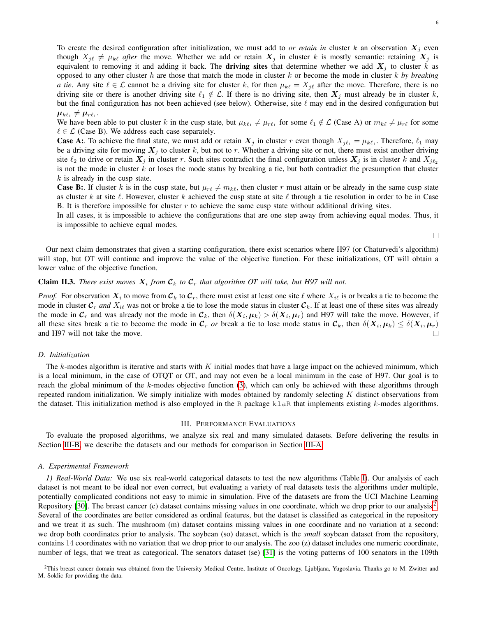To create the desired configuration after initialization, we must add to *or retain in* cluster k an observation  $X_i$  even though  $X_{j\ell} \neq \mu_{k\ell}$  *after* the move. Whether we add or retain  $X_j$  in cluster k is mostly semantic: retaining  $X_j$  is equivalent to removing it and adding it back. The **driving sites** that determine whether we add  $X_j$  to cluster k as opposed to any other cluster h are those that match the mode in cluster k or become the mode in cluster k *by breaking a tie*. Any site  $\ell \in \mathcal{L}$  cannot be a driving site for cluster k, for then  $\mu_{k\ell} = X_{j\ell}$  after the move. Therefore, there is no driving site or there is another driving site  $\ell_1 \notin \mathcal{L}$ . If there is no driving site, then  $X_j$  must already be in cluster k, but the final configuration has not been achieved (see below). Otherwise, site  $\ell$  may end in the desired configuration but  $\boldsymbol{\mu}_{k \ell_1} \neq \boldsymbol{\mu}_{r \ell_1}.$ 

We have been able to put cluster k in the cusp state, but  $\mu_{k\ell_1} \neq \mu_{r\ell_1}$  for some  $\ell_1 \notin \mathcal{L}$  (Case A) or  $m_{k\ell} \neq \mu_{r\ell}$  for some  $\ell \in \mathcal{L}$  (Case B). We address each case separately.

**Case A:** To achieve the final state, we must add or retain  $X_j$  in cluster r even though  $X_{j\ell_1} = \mu_{k\ell_1}$ . Therefore,  $\ell_1$  may be a driving site for moving  $X_i$  to cluster k, but not to r. Whether a driving site or not, there must exist another driving site  $\ell_2$  to drive or retain  $X_j$  in cluster r. Such sites contradict the final configuration unless  $X_j$  is in cluster k and  $X_{i\ell_2}$ is not the mode in cluster  $k$  or loses the mode status by breaking a tie, but both contradict the presumption that cluster  $k$  is already in the cusp state.

**Case B:.** If cluster k is in the cusp state, but  $\mu_{r\ell} \neq m_{k\ell}$ , then cluster r must attain or be already in the same cusp state as cluster k at site  $\ell$ . However, cluster k achieved the cusp state at site  $\ell$  through a tie resolution in order to be in Case B. It is therefore impossible for cluster  $r$  to achieve the same cusp state without additional driving sites.

In all cases, it is impossible to achieve the configurations that are one step away from achieving equal modes. Thus, it is impossible to achieve equal modes.

 $\Box$ 

Our next claim demonstrates that given a starting configuration, there exist scenarios where H97 (or Chaturvedi's algorithm) will stop, but OT will continue and improve the value of the objective function. For these initializations, OT will obtain a lower value of the objective function.

# **Claim II.3.** There exist moves  $X_i$  from  $\mathcal{C}_k$  to  $\mathcal{C}_r$  that algorithm OT will take, but H97 will not.

*Proof.* For observation  $X_i$  to move from  $C_k$  to  $C_r$ , there must exist at least one site  $\ell$  where  $X_{i\ell}$  is or breaks a tie to become the mode in cluster  $\mathcal{C}_r$  *and*  $X_{i\ell}$  was not or broke a tie to lose the mode status in cluster  $\mathcal{C}_k$ . If at least one of these sites was already the mode in  $C_r$  and was already not the mode in  $C_k$ , then  $\delta(X_i, \mu_k) > \delta(X_i, \mu_r)$  and H97 will take the move. However, if all these sites break a tie to become the mode in  $\mathcal{C}_r$  *or* break a tie to lose mode status in  $\mathcal{C}_k$ , then  $\delta(\mathbf{X}_i, \mu_k) \leq \delta(\mathbf{X}_i, \mu_r)$ and H97 will not take the move.  $\Box$ 

#### *D. Initialization*

The  $k$ -modes algorithm is iterative and starts with K initial modes that have a large impact on the achieved minimum, which is a local minimum, in the case of OTQT or OT, and may not even be a local minimum in the case of H97. Our goal is to reach the global minimum of the  $k$ -modes objective function  $(3)$ , which can only be achieved with these algorithms through repeated random initialization. We simply initialize with modes obtained by randomly selecting  $K$  distinct observations from the dataset. This initialization method is also employed in the R package  $k \perp aR$  that implements existing  $k$ -modes algorithms.

# III. PERFORMANCE EVALUATIONS

<span id="page-5-0"></span>To evaluate the proposed algorithms, we analyze six real and many simulated datasets. Before delivering the results in Section [III-B,](#page-8-0) we describe the datasets and our methods for comparison in Section [III-A.](#page-5-1)

#### <span id="page-5-1"></span>*A. Experimental Framework*

<span id="page-5-3"></span>*1) Real-World Data:* We use six real-world categorical datasets to test the new algorithms (Table [I\)](#page-6-0). Our analysis of each dataset is not meant to be ideal nor even correct, but evaluating a variety of real datasets tests the algorithms under multiple, potentially complicated conditions not easy to mimic in simulation. Five of the datasets are from the UCI Machine Learning Repository [\[30\]](#page-14-7). The breast cancer (c) dataset contains missing values in one coordinate, which we drop prior to our analysis<sup>[2](#page-5-2)</sup>. Several of the coordinates are better considered as ordinal features, but the dataset is classified as categorical in the repository and we treat it as such. The mushroom (m) dataset contains missing values in one coordinate and no variation at a second: we drop both coordinates prior to analysis. The soybean (so) dataset, which is the *small* soybean dataset from the repository, contains 14 coordinates with no variation that we drop prior to our analysis. The zoo (z) dataset includes one numeric coordinate, number of legs, that we treat as categorical. The senators dataset (se) [\[31\]](#page-14-8) is the voting patterns of 100 senators in the 109th

<span id="page-5-2"></span><sup>2</sup>This breast cancer domain was obtained from the University Medical Centre, Institute of Oncology, Ljubljana, Yugoslavia. Thanks go to M. Zwitter and M. Soklic for providing the data.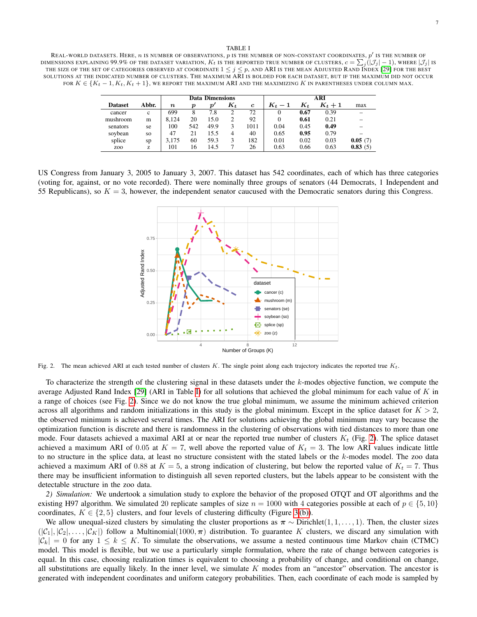#### TABLE I

<span id="page-6-0"></span>REAL-WORLD DATASETS. HERE,  $n$  is number of observations,  $p$  is the number of non-constant coordinates,  $p'$  is the number of DIMENSIONS EXPLAINING  $99.9\%$  of the dataset variation,  $K_t$  is the reported true number of clusters,  $c=\sum_j (|\mathcal{J}_j|-1),$  where  $|\mathcal{J}_j|$  is THE SIZE OF THE SET OF CATEGORIES OBSERVED AT COORDINATE  $1 \leq j \leq p$ , AND ARI IS THE MEAN ADJUSTED RAND INDEX [\[29\]](#page-14-9) FOR THE BEST SOLUTIONS AT THE INDICATED NUMBER OF CLUSTERS. THE MAXIMUM ARI IS BOLDED FOR EACH DATASET, BUT IF THE MAXIMUM DID NOT OCCUR FOR  $K \in \{K_t-1, K_t, K_t+1\}$ , WE REPORT THE MAXIMUM ARI AND THE MAXIMIZING K IN PARENTHESES UNDER COLUMN MAX.

|                 |           | <b>Data Dimensions</b> |     |                  |       |             | ARI     |       |         |         |
|-----------------|-----------|------------------------|-----|------------------|-------|-------------|---------|-------|---------|---------|
| <b>Dataset</b>  | Abbr.     | $\boldsymbol{n}$       | D   | $\boldsymbol{p}$ | $K_t$ | $\mathbf c$ | $K_t-1$ | $K_t$ | $K_t+1$ | max     |
| cancer          | c         | 699                    | 8   | 7.8              |       | 72          | 0       | 0.67  | 0.39    |         |
| mushroom        | m         | 8.124                  | 20  | 15.0             |       | 92          | 0       | 0.61  | 0.21    |         |
| senators        | se        | 100                    | 542 | 49.9             | 3     | 1011        | 0.04    | 0.45  | 0.49    |         |
| soybean         | <b>SO</b> | 47                     | 21  | 15.5             | 4     | 40          | 0.65    | 0.95  | 0.79    |         |
| splice          | sp        | 3.175                  | 60  | 59.3             | 3     | 182         | 0.01    | 0.02  | 0.03    | 0.05(7) |
| Z <sub>00</sub> | z         | 101                    | 16  | 14.5             |       | 26          | 0.63    | 0.66  | 0.63    | 0.83(5) |

US Congress from January 3, 2005 to January 3, 2007. This dataset has 542 coordinates, each of which has three categories (voting for, against, or no vote recorded). There were nominally three groups of senators (44 Democrats, 1 Independent and 55 Republicans), so  $K = 3$ , however, the independent senator caucused with the Democratic senators during this Congress.



<span id="page-6-1"></span>Fig. 2. The mean achieved ARI at each tested number of clusters K. The single point along each trajectory indicates the reported true  $K_t$ .

To characterize the strength of the clustering signal in these datasets under the  $k$ -modes objective function, we compute the average Adjusted Rand Index [\[29\]](#page-14-9) (ARI in Table [I\)](#page-6-0) for all solutions that achieved the global minimum for each value of K in a range of choices (see Fig. [2\)](#page-6-1). Since we do not know the true global minimum, we assume the minimum achieved criterion across all algorithms and random initializations in this study is the global minimum. Except in the splice dataset for  $K > 2$ , the observed minimum is achieved several times. The ARI for solutions achieving the global minimum may vary because the optimization function is discrete and there is randomness in the clustering of observations with tied distances to more than one mode. Four datasets achieved a maximal ARI at or near the reported true number of clusters  $K_t$  (Fig. [2\)](#page-6-1). The splice dataset achieved a maximum ARI of 0.05 at  $K = 7$ , well above the reported value of  $K_t = 3$ . The low ARI values indicate little to no structure in the splice data, at least no structure consistent with the stated labels or the k-modes model. The zoo data achieved a maximum ARI of 0.88 at  $K = 5$ , a strong indication of clustering, but below the reported value of  $K_t = 7$ . Thus there may be insufficient information to distinguish all seven reported clusters, but the labels appear to be consistent with the detectable structure in the zoo data.

*2) Simulation:* We undertook a simulation study to explore the behavior of the proposed OTQT and OT algorithms and the existing H97 algorithm. We simulated 20 replicate samples of size  $n = 1000$  with 4 categories possible at each of  $p \in \{5, 10\}$ coordinates,  $K \in \{2, 5\}$  clusters, and four levels of clustering difficulty (Figure [3](#page-7-0)(b)).

We allow unequal-sized clusters by simulating the cluster proportions as  $\pi \sim$  Dirichlet(1, 1, . . . , 1). Then, the cluster sizes  $(|C_1|, |C_2|, \ldots, |C_K|)$  follow a Multinomial(1000,  $\pi$ ) distribution. To guarantee K clusters, we discard any simulation with  $|\mathcal{C}_k| = 0$  for any  $1 \leq k \leq K$ . To simulate the observations, we assume a nested continuous time Markov chain (CTMC) model. This model is flexible, but we use a particularly simple formulation, where the rate of change between categories is equal. In this case, choosing realization times is equivalent to choosing a probability of change, and conditional on change, all substitutions are equally likely. In the inner level, we simulate  $K$  modes from an "ancestor" observation. The ancestor is generated with independent coordinates and uniform category probabilities. Then, each coordinate of each mode is sampled by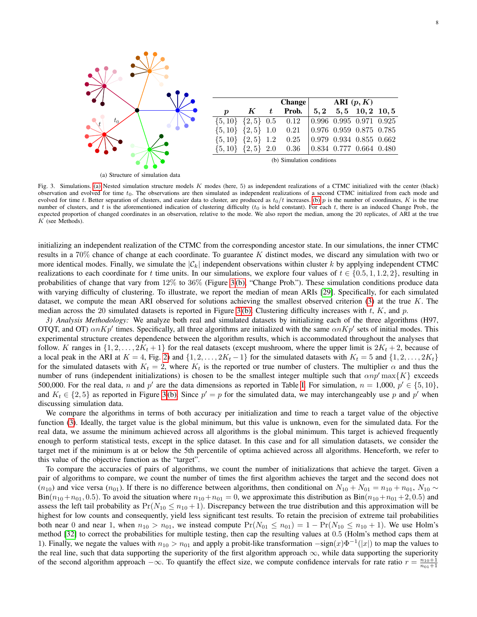<span id="page-7-2"></span>

<span id="page-7-1"></span>

|                                 |  |               | Change $ARI(p, K)$                                |  |                                           |  |
|---------------------------------|--|---------------|---------------------------------------------------|--|-------------------------------------------|--|
| $\boldsymbol{p}$                |  | $K$ $t$ Prob. |                                                   |  | $5, 2 \quad 5, 5 \quad 10, 2 \quad 10, 5$ |  |
| $\{5, 10\}$ $\{2, 5\}$ 0.5 0.12 |  |               | $\vert 0.996 \vert 0.995 \vert 0.971 \vert 0.925$ |  |                                           |  |
| $\{5, 10\}$ $\{2, 5\}$ 1.0      |  | 0.21          | $\vert 0.976 \vert 0.959 \vert 0.875 \vert 0.785$ |  |                                           |  |
| $\{5, 10\}$ $\{2, 5\}$ 1.2      |  | 0.25          | $\vert 0.979 \vert 0.934 \vert 0.855 \vert 0.662$ |  |                                           |  |
| $\{5, 10\}$ $\{2, 5\}$ 2.0      |  | 0.36          | $\vert 0.834 \vert 0.777 \vert 0.664 \vert 0.480$ |  |                                           |  |

(b) Simulation conditions

<span id="page-7-0"></span>Fig. 3. Simulations. [\(a\)](#page-7-2) Nested simulation structure models K modes (here, 5) as independent realizations of a CTMC initialized with the center (black) observation and evolved for time  $t_0$ . The observations are then simulated as independent realizations of a second CTMC initialized from each mode and evolved for time t. Better separation of clusters, and easier data to cluster, are produced as  $t_0/t$  increases. [\(b\)](#page-7-1) p is the number of coordinates, K is the true number of clusters, and t is the aforementioned indication of clustering difficulty  $(t_0$  is held constant). For each t, there is an induced Change Prob., the expected proportion of changed coordinates in an observation, relative to the mode. We also report the median, among the 20 replicates, of ARI at the true  $K$  (see Methods).

initializing an independent realization of the CTMC from the corresponding ancestor state. In our simulations, the inner CTMC results in a  $70\%$  chance of change at each coordinate. To guarantee K distinct modes, we discard any simulation with two or more identical modes. Finally, we simulate the  $|\mathcal{C}_k|$  independent observations within cluster k by applying independent CTMC realizations to each coordinate for t time units. In our simulations, we explore four values of  $t \in \{0.5, 1, 1.2, 2\}$ , resulting in probabilities of change that vary from 12% to 36% (Figure [3](#page-7-0) [\(b\),](#page-7-1) "Change Prob."). These simulation conditions produce data with varying difficulty of clustering. To illustrate, we report the median of mean ARIs [\[29\]](#page-14-9). Specifically, for each simulated dataset, we compute the mean ARI observed for solutions achieving the smallest observed criterion  $(3)$  at the true K. The median across the 20 simulated datasets is reported in Figure [3](#page-7-0) [\(b\).](#page-7-1) Clustering difficulty increases with t, K, and p.

*3) Analysis Methodology:* We analyze both real and simulated datasets by initializing each of the three algorithms (H97, OTQT, and OT)  $\alpha nKp'$  times. Specifically, all three algorithms are initialized with the same  $\alpha nKp'$  sets of initial modes. This experimental structure creates dependence between the algorithm results, which is accommodated throughout the analyses that follow. K ranges in  $\{1, 2, \ldots, 2K_t + 1\}$  for the real datasets (except mushroom, where the upper limit is  $2K_t + 2$ , because of a local peak in the ARI at  $K = 4$ , Fig. [2\)](#page-6-1) and  $\{1, 2, \ldots, 2K_t - 1\}$  for the simulated datasets with  $K_t = 5$  and  $\{1, 2, \ldots, 2K_t\}$ for the simulated datasets with  $K_t = 2$ , where  $K_t$  is the reported or true number of clusters. The multiplier  $\alpha$  and thus the number of runs (independent initializations) is chosen to be the smallest integer multiple such that  $\alpha np' \max\{K\}$  exceeds 500,000. For the real data, n and p' are the data dimensions as reported in Table [I.](#page-6-0) For simulation,  $n = 1,000$ ,  $p' \in \{5, 10\}$ , and  $K_t \in \{2, 5\}$  as reported in Figure [3](#page-7-0)(b). Since  $p' = p$  for the simulated data, we may interchangeably use p and p' when discussing simulation data.

We compare the algorithms in terms of both accuracy per initialization and time to reach a target value of the objective function [\(3\)](#page-1-3). Ideally, the target value is the global minimum, but this value is unknown, even for the simulated data. For the real data, we assume the minimum achieved across all algorithms is the global minimum. This target is achieved frequently enough to perform statistical tests, except in the splice dataset. In this case and for all simulation datasets, we consider the target met if the minimum is at or below the 5th percentile of optima achieved across all algorithms. Henceforth, we refer to this value of the objective function as the "target".

To compare the accuracies of pairs of algorithms, we count the number of initializations that achieve the target. Given a pair of algorithms to compare, we count the number of times the first algorithm achieves the target and the second does not  $(n_{10})$  and vice versa  $(n_{01})$ . If there is no difference between algorithms, then conditional on  $N_{10} + N_{01} = n_{10} + n_{01}$ ,  $N_{10} \sim$  $Bin(n_{10}+n_{01}, 0.5)$ . To avoid the situation where  $n_{10}+n_{01} = 0$ , we approximate this distribution as  $Bin(n_{10}+n_{01}+2, 0.5)$  and assess the left tail probability as  $Pr(N_{10} \le n_{10} + 1)$ . Discrepancy between the true distribution and this approximation will be highest for low counts and consequently, yield less significant test results. To retain the precision of extreme tail probabilities both near 0 and near 1, when  $n_{10} > n_{01}$ , we instead compute  $Pr(N_{01} \le n_{01}) = 1 - Pr(N_{10} \le n_{10} + 1)$ . We use Holm's method [\[32\]](#page-14-10) to correct the probabilities for multiple testing, then cap the resulting values at 0.5 (Holm's method caps them at 1). Finally, we negate the values with  $n_{10} > n_{01}$  and apply a probit-like transformation  $-\text{sign}(x)\Phi^{-1}(|x|)$  to map the values to the real line, such that data supporting the superiority of the first algorithm approach  $\infty$ , while data supporting the superiority of the second algorithm approach  $-\infty$ . To quantify the effect size, we compute confidence intervals for rate ratio  $r = \frac{n_{10}+1}{n_{01}+1}$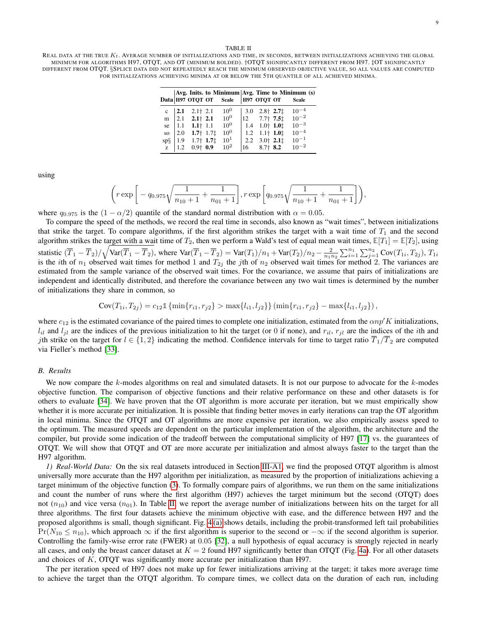#### TABLE II

<span id="page-8-1"></span>REAL DATA AT THE TRUE  $K_t$ . AVERAGE NUMBER OF INITIALIZATIONS AND TIME, IN SECONDS, BETWEEN INITIALIZATIONS ACHIEVING THE GLOBAL MINIMUM FOR ALGORITHMS H97, OTQT, AND OT (MINIMUM BOLDED). †OTQT SIGNIFICANTLY DIFFERENT FROM H97. ‡OT SIGNIFICANTLY DIFFERENT FROM OTQT. §SPLICE DATA DID NOT REPEATEDLY REACH THE MINIMUM OBSERVED OBJECTIVE VALUE, SO ALL VALUES ARE COMPUTED FOR INITIALIZATIONS ACHIEVING MINIMA AT OR BELOW THE 5TH QUANTILE OF ALL ACHIEVED MINIMA.

|                 |                    |                                                                        | Data H97 OTQT OT Scale   H97 OTQT OT Scale |                                  | Avg. Inits. to Minimum Avg. Time to Minimum (s) |
|-----------------|--------------------|------------------------------------------------------------------------|--------------------------------------------|----------------------------------|-------------------------------------------------|
|                 |                    |                                                                        | $10^0$                                     | $  3.0 2.8 \dagger 2.7 \ddagger$ | $10^{-4}$                                       |
|                 |                    | c $\begin{vmatrix} 2.1 & 2.1 \ \text{m} & 2.1 & 2.1 \end{vmatrix}$ 2.1 | $10^0$                                     | $12$ 7.7 $7.5\pm$                | $10^{-2}$                                       |
|                 |                    | se $1.1$ 1.1 $\uparrow$ 1.1                                            | $10^{0}$                                   | $1.4$ 1.0 $1.0$ $1.0$ $1.0$      | $10^{-3}$                                       |
| SO <sub>1</sub> | $\vert 2.0 \vert$  | $1.7$ † 1.7 $\ddagger$                                                 | $10^{0}$                                   | $1.2$ 1.1 $1.01$                 | $10^{-4}$                                       |
|                 |                    | sp§   1.9 1.7† 1.7‡                                                    | $10^1$                                     | $2.2$ $3.0$ $2.1$ $\ddagger$     | $10^{-1}$                                       |
|                 | $\mathbf{z}$   1.2 | $0.9+$ 0.9                                                             | $10^{2}$                                   | $16$ 8.7 $\pm$ 8.2               | $10^{-2}$                                       |

using

$$
\left(r \exp \left[-q_{0.975}\sqrt{\frac{1}{n_{10}+1}+\frac{1}{n_{01}+1}}\right], r \exp \left[q_{0.975}\sqrt{\frac{1}{n_{10}+1}+\frac{1}{n_{01}+1}}\right]\right),\right.
$$

where  $q_{0.975}$  is the  $(1 - \alpha/2)$  quantile of the standard normal distribution with  $\alpha = 0.05$ .

To compare the speed of the methods, we record the real time in seconds, also known as "wait times", between initializations that strike the target. To compare algorithms, if the first algorithm strikes the target with a wait time of  $T_1$  and the second algorithm strikes the target with a wait time of  $T_2$ , then we perform a Wald's test of equal mean wait times,  $\mathbb{E}[T_1] = \mathbb{E}[T_2]$ , using statistic  $(\overline{T}_1 - \overline{T}_2)/\sqrt{\text{Var}(\overline{T}_1 - \overline{T}_2)}$ , where  $\text{Var}(\overline{T}_1 - \overline{T}_2) = \text{Var}(T_1)/n_1 + \text{Var}(T_2)/n_2 - \frac{2}{n_1 n_2} \sum_{i=1}^{n_1} \sum_{j=1}^{n_2} \text{Cov}(T_{1i}, T_{2j}), T_{1i}$ is the *i*th of  $n_1$  observed wait times for method 1 and  $T_{2j}$  the *j*th of  $n_2$  observed wait times for method 2. The variances are estimated from the sample variance of the observed wait times. For the covariance, we assume that pairs of initializations are independent and identically distributed, and therefore the covariance between any two wait times is determined by the number of initializations they share in common, so

$$
Cov(T_{1i}, T_{2j}) = c_{12} \mathbb{1} \left\{ \min\{r_{i1}, r_{j2}\} > \max\{l_{i1}, l_{j2}\} \right\} (\min\{r_{i1}, r_{j2}\} - \max\{l_{i1}, l_{j2}\}),
$$

where  $c_{12}$  is the estimated covariance of the paired times to complete one initialization, estimated from the  $\alpha np'K$  initializations,  $l_{il}$  and  $l_{jl}$  are the indices of the previous initialization to hit the target (or 0 if none), and  $r_{il}$ ,  $r_{jl}$  are the indices of the *i*th and jth strike on the target for  $l \in \{1,2\}$  indicating the method. Confidence intervals for time to target ratio  $\overline{T}_1/\overline{T}_2$  are computed via Fieller's method [\[33\]](#page-14-11).

#### <span id="page-8-0"></span>*B. Results*

We now compare the k-modes algorithms on real and simulated datasets. It is not our purpose to advocate for the k-modes objective function. The comparison of objective functions and their relative performance on these and other datasets is for others to evaluate [\[34\]](#page-14-12). We have proven that the OT algorithm is more accurate per iteration, but we must empirically show whether it is more accurate per initialization. It is possible that finding better moves in early iterations can trap the OT algorithm in local minima. Since the OTQT and OT algorithms are more expensive per iteration, we also empirically assess speed to the optimum. The measured speeds are dependent on the particular implementation of the algorithm, the architecture and the compiler, but provide some indication of the tradeoff between the computational simplicity of H97 [\[17\]](#page-14-0) vs. the guarantees of OTQT. We will show that OTQT and OT are more accurate per initialization and almost always faster to the target than the H97 algorithm.

*1) Real-World Data:* On the six real datasets introduced in Section [III-A1,](#page-5-3) we find the proposed OTQT algorithm is almost universally more accurate than the H97 algorithm per initialization, as measured by the proportion of initializations achieving a target minimum of the objective function [\(3\)](#page-1-3). To formally compare pairs of algorithms, we run them on the same initializations and count the number of runs where the first algorithm (H97) achieves the target minimum but the second (OTQT) does not  $(n_{10})$  and vice versa  $(n_{01})$ . In Table [II,](#page-8-1) we report the average number of initializations between hits on the target for all three algorithms. The first four datasets achieve the minimum objective with ease, and the difference between H97 and the proposed algorithms is small, though significant. Fig. [4](#page-9-0) [\(a\)](#page-9-1) shows details, including the probit-transformed left tail probabilities  $Pr(N_{10} \le n_{10})$ , which approach  $\infty$  if the first algorithm is superior to the second or  $-\infty$  if the second algorithm is superior. Controlling the family-wise error rate (FWER) at 0.05 [\[32\]](#page-14-10), a null hypothesis of equal accuracy is strongly rejected in nearly all cases, and only the breast cancer dataset at  $K = 2$  found H97 significantly better than OTQT (Fig. [4a\)](#page-9-1). For all other datasets and choices of  $K$ , OTQT was significantly more accurate per initialization than H97.

The per iteration speed of H97 does not make up for fewer initializations arriving at the target; it takes more average time to achieve the target than the OTQT algorithm. To compare times, we collect data on the duration of each run, including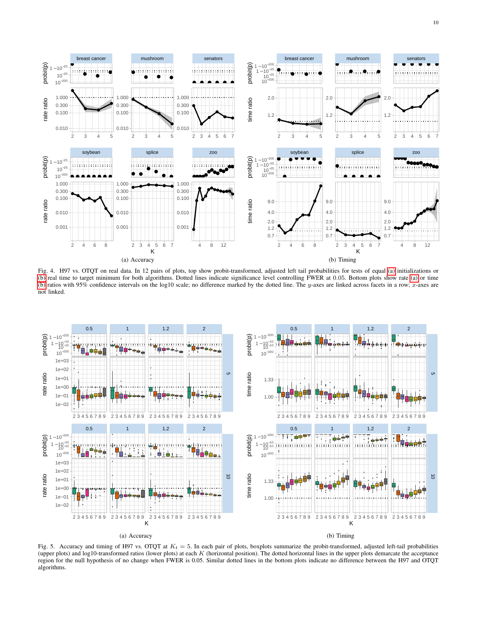

<span id="page-9-2"></span><span id="page-9-1"></span><span id="page-9-0"></span>Fig. 4. H97 vs. OTQT on real data. In 12 pairs of plots, top show probit-transformed, adjusted left tail probabilities for tests of equal [\(a\)](#page-9-1) initializations or [\(b\)](#page-9-2) real time to target minimum for both algorithms. Dotted lines indicate significance level controlling FWER at 0.05. Bottom plots show rate [\(a\)](#page-9-1) or time [\(b\)](#page-9-2) ratios with 95% confidence intervals on the log10 scale; no difference marked by the dotted line. The y-axes are linked across facets in a row; x-axes are not linked.



<span id="page-9-5"></span><span id="page-9-4"></span><span id="page-9-3"></span>Fig. 5. Accuracy and timing of H97 vs. OTQT at  $K_t = 5$ . In each pair of plots, boxplots summarize the probit-transformed, adjusted left-tail probabilities (upper plots) and log10-transformed ratios (lower plots) at each  $K$  (horizontal position). The dotted horizontal lines in the upper plots demarcate the acceptance region for the null hypothesis of no change when FWER is 0.05. Similar dotted lines in the bottom plots indicate no difference between the H97 and OTQT algorithms.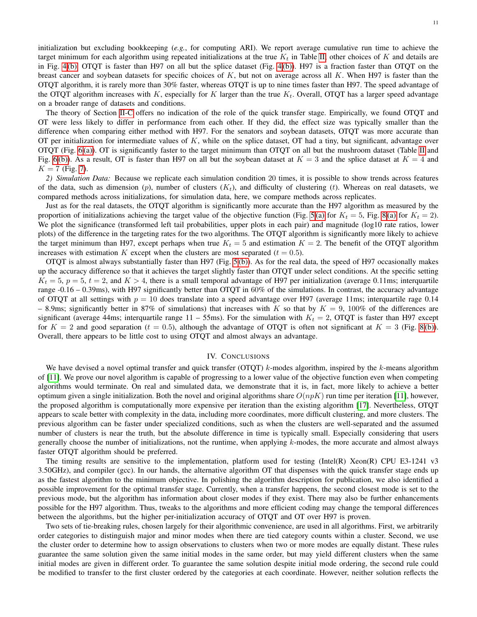initialization but excluding bookkeeping (*e.g.*, for computing ARI). We report average cumulative run time to achieve the target minimum for each algorithm using repeated initializations at the true  $K_t$  in Table [II;](#page-8-1) other choices of K and details are in Fig. [4](#page-9-0) [\(b\).](#page-9-2) OTQT is faster than H97 on all but the splice dataset (Fig. [4](#page-9-0) [\(b\)\)](#page-9-2). H97 is a fraction faster than OTQT on the breast cancer and soybean datasets for specific choices of  $K$ , but not on average across all  $K$ . When H97 is faster than the OTQT algorithm, it is rarely more than 30% faster, whereas OTQT is up to nine times faster than H97. The speed advantage of the OTQT algorithm increases with K, especially for K larger than the true  $K_t$ . Overall, OTQT has a larger speed advantage on a broader range of datasets and conditions.

The theory of Section [II-C](#page-4-4) offers no indication of the role of the quick transfer stage. Empirically, we found OTQT and OT were less likely to differ in performance from each other. If they did, the effect size was typically smaller than the difference when comparing either method with H97. For the senators and soybean datasets, OTQT was more accurate than OT per initialization for intermediate values of  $K$ , while on the splice dataset, OT had a tiny, but significant, advantage over OTQT (Fig. [6](#page-11-1) [\(a\)\)](#page-11-2). OT is significantly faster to the target minimum than OTQT on all but the mushroom dataset (Table [II](#page-8-1) and Fig. [6](#page-11-1)(b)). As a result, OT is faster than H97 on all but the soybean dataset at  $K = 3$  and the splice dataset at  $K = 4$  and  $K = 7$  (Fig. [7\)](#page-12-6).

*2) Simulation Data:* Because we replicate each simulation condition 20 times, it is possible to show trends across features of the data, such as dimension (p), number of clusters  $(K_t)$ , and difficulty of clustering (t). Whereas on real datasets, we compared methods across initializations, for simulation data, here, we compare methods across replicates.

Just as for the real datasets, the OTQT algorithm is significantly more accurate than the H97 algorithm as measured by the proportion of initializations achieving the target value of the objective function (Fig. [5](#page-9-3) [\(a\)](#page-12-8) for  $K_t = 5$ , Fig. [8](#page-12-7) (a) for  $K_t = 2$ ). We plot the significance (transformed left tail probabilities, upper plots in each pair) and magnitude (log10 rate ratios, lower plots) of the difference in the targeting rates for the two algorithms. The OTQT algorithm is significantly more likely to achieve the target minimum than H97, except perhaps when true  $K_t = 5$  and estimation  $K = 2$ . The benefit of the OTQT algorithm increases with estimation K except when the clusters are most separated ( $t = 0.5$ ).

OTQT is almost always substantially faster than H97 (Fig. [5](#page-9-3) [\(b\)\)](#page-9-5). As for the real data, the speed of H97 occasionally makes up the accuracy difference so that it achieves the target slightly faster than OTQT under select conditions. At the specific setting  $K_t = 5$ ,  $p = 5$ ,  $t = 2$ , and  $K > 4$ , there is a small temporal advantage of H97 per initialization (average 0.11ms; interquartile range  $-0.16 - 0.39$ ms), with H97 significantly better than OTQT in 60% of the simulations. In contrast, the accuracy advantage of OTQT at all settings with  $p = 10$  does translate into a speed advantage over H97 (average 11ms; interquartile rage 0.14 – 8.9ms; significantly better in 87% of simulations) that increases with K so that by  $K = 9$ , 100% of the differences are significant (average 44ms; interquartile range 11 – 55ms). For the simulation with  $K_t = 2$ , OTQT is faster than H97 except for  $K = 2$  and good separation (t = 0.5), although the advantage of OTQT is often not significant at  $K = 3$  (Fig. [8](#page-12-7)(b)). Overall, there appears to be little cost to using OTQT and almost always an advantage.

# IV. CONCLUSIONS

We have devised a novel optimal transfer and quick transfer (OTQT) k-modes algorithm, inspired by the k-means algorithm of [\[11\]](#page-12-2). We prove our novel algorithm is capable of progressing to a lower value of the objective function even when competing algorithms would terminate. On real and simulated data, we demonstrate that it is, in fact, more likely to achieve a better optimum given a single initialization. Both the novel and original algorithms share  $O(npK)$  run time per iteration [\[11\]](#page-12-2), however, the proposed algorithm is computationally more expensive per iteration than the existing algorithm [\[17\]](#page-14-0). Nevertheless, OTQT appears to scale better with complexity in the data, including more coordinates, more difficult clustering, and more clusters. The previous algorithm can be faster under specialized conditions, such as when the clusters are well-separated and the assumed number of clusters is near the truth, but the absolute difference in time is typically small. Especially considering that users generally choose the number of initializations, not the runtime, when applying  $k$ -modes, the more accurate and almost always faster OTQT algorithm should be preferred.

The timing results are sensitive to the implementation, platform used for testing (Intel(R) Xeon(R) CPU E3-1241 v3 3.50GHz), and compiler (gcc). In our hands, the alternative algorithm OT that dispenses with the quick transfer stage ends up as the fastest algorithm to the minimum objective. In polishing the algorithm description for publication, we also identified a possible improvement for the optimal transfer stage. Currently, when a transfer happens, the second closest mode is set to the previous mode, but the algorithm has information about closer modes if they exist. There may also be further enhancements possible for the H97 algorithm. Thus, tweaks to the algorithms and more efficient coding may change the temporal differences between the algorithms, but the higher per-initialization accuracy of OTQT and OT over H97 is proven.

Two sets of tie-breaking rules, chosen largely for their algorithmic convenience, are used in all algorithms. First, we arbitrarily order categories to distinguish major and minor modes when there are tied category counts within a cluster. Second, we use the cluster order to determine how to assign observations to clusters when two or more modes are equally distant. These rules guarantee the same solution given the same initial modes in the same order, but may yield different clusters when the same initial modes are given in different order. To guarantee the same solution despite initial mode ordering, the second rule could be modified to transfer to the first cluster ordered by the categories at each coordinate. However, neither solution reflects the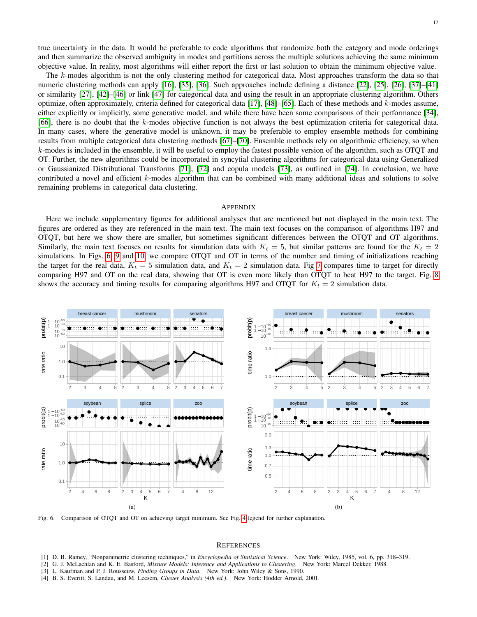true uncertainty in the data. It would be preferable to code algorithms that randomize both the category and mode orderings and then summarize the observed ambiguity in modes and partitions across the multiple solutions achieving the same minimum objective value. In reality, most algorithms will either report the first or last solution to obtain the minimum objective value.

The k-modes algorithm is not the only clustering method for categorical data. Most approaches transform the data so that numeric clustering methods can apply [\[16\]](#page-13-2), [\[35\]](#page-14-13), [\[36\]](#page-14-14). Such approaches include defining a distance [\[22\]](#page-14-5), [\[25\]](#page-14-15), [\[26\]](#page-14-16), [\[37\]](#page-14-17)–[\[41\]](#page-14-18) or similarity [\[27\]](#page-14-19), [\[42\]](#page-14-20)–[\[46\]](#page-14-21) or link [\[47\]](#page-14-22) for categorical data and using the result in an appropriate clustering algorithm. Others optimize, often approximately, criteria defined for categorical data [\[17\]](#page-14-0), [\[48\]](#page-14-23)–[\[65\]](#page-15-0). Each of these methods and  $k$ -modes assume, either explicitly or implicitly, some generative model, and while there have been some comparisons of their performance [\[34\]](#page-14-12), [\[66\]](#page-15-1), there is no doubt that the k-modes objective function is not always the best optimization criteria for categorical data. In many cases, where the generative model is unknown, it may be preferable to employ ensemble methods for combining results from multiple categorical data clustering methods [\[67\]](#page-15-2)–[\[70\]](#page-15-3). Ensemble methods rely on algorithmic efficiency, so when k-modes is included in the ensemble, it will be useful to employ the fastest possible version of the algorithm, such as OTQT and OT. Further, the new algorithms could be incorporated in syncytial clustering algorithms for categorical data using Generalized or Gaussianized Distributional Transforms [\[71\]](#page-15-4), [\[72\]](#page-15-5) and copula models [\[73\]](#page-15-6), as outlined in [\[74\]](#page-15-7). In conclusion, we have contributed a novel and efficient k-modes algorithm that can be combined with many additional ideas and solutions to solve remaining problems in categorical data clustering.

## APPENDIX

Here we include supplementary figures for additional analyses that are mentioned but not displayed in the main text. The figures are ordered as they are referenced in the main text. The main text focuses on the comparison of algorithms H97 and OTQT, but here we show there are smaller, but sometimes significant differences between the OTQT and OT algorithms. Similarly, the main text focuses on results for simulation data with  $K_t = 5$ , but similar patterns are found for the  $K_t = 2$ simulations. In Figs. [6,](#page-11-1) [9](#page-13-4) and [10,](#page-13-5) we compare OTQT and OT in terms of the number and timing of initializations reaching the target for the real data,  $K_t = 5$  simulation data, and  $K_t = 2$  simulation data. Fig [7](#page-12-6) compares time to target for directly comparing H97 and OT on the real data, showing that OT is even more likely than OTQT to beat H97 to the target. Fig. [8](#page-12-7) shows the accuracy and timing results for comparing algorithms H97 and OTQT for  $K_t = 2$  simulation data.

<span id="page-11-2"></span>

<span id="page-11-1"></span>Fig. 6. Comparison of OTQT and OT on achieving target minimum. See Fig. [4](#page-9-0) legend for further explanation.

#### <span id="page-11-3"></span>**REFERENCES**

- <span id="page-11-0"></span>[1] D. B. Ramey, "Nonparametric clustering techniques," in *Encyclopedia of Statistical Science*. New York: Wiley, 1985, vol. 6, pp. 318–319.
- [2] G. J. McLachlan and K. E. Basford, *Mixture Models: Inference and Applications to Clustering*. New York: Marcel Dekker, 1988.
- [3] L. Kaufman and P. J. Rousseuw, *Finding Groups in Data*. New York: John Wiley & Sons, 1990.
- [4] B. S. Everitt, S. Landau, and M. Leesem, *Cluster Analysis (4th ed.)*. New York: Hodder Arnold, 2001.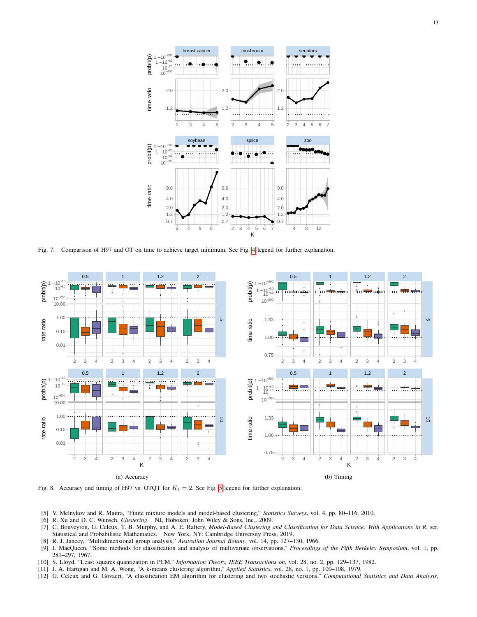

<span id="page-12-6"></span>Fig. 7. Comparison of H97 and OT on time to achieve target minimum. See Fig. [4](#page-9-0) legend for further explanation.

<span id="page-12-8"></span>

<span id="page-12-9"></span><span id="page-12-7"></span>Fig. 8. Accuracy and timing of H97 vs. OTQT for  $K_t = 2$ . See Fig. [5](#page-9-3) legend for further explanation.

- [5] V. Melnykov and R. Maitra, "Finite mixture models and model-based clustering," *Statistics Surveys*, vol. 4, pp. 80–116, 2010.
- [6] R. Xu and D. C. Wunsch, *Clustering*. NJ, Hoboken: John Wiley & Sons, Inc., 2009.
- <span id="page-12-0"></span>[7] C. Bouveyron, G. Celeux, T. B. Murphy, and A. E. Raftery, *Model-Based Clustering and Classification for Data Science: With Applications in R*, ser. Statistical and Probabilistic Mathematics. New York, NY: Cambridge University Press, 2019.
- <span id="page-12-1"></span>[8] R. J. Jancey, "Multidimensional group analysis," *Australian Journal Botany*, vol. 14, pp. 127–130, 1966.
- <span id="page-12-4"></span>[9] J. MacQueen, "Some methods for classification and analysis of multivariate observations," *Proceedings of the Fifth Berkeley Symposium*, vol. 1, pp. 281–297, 1967.
- <span id="page-12-5"></span>[10] S. Lloyd, "Least squares quantization in PCM," *Information Theory, IEEE Transactions on*, vol. 28, no. 2, pp. 129–137, 1982.
- <span id="page-12-2"></span>[11] J. A. Hartigan and M. A. Wong, "A k-means clustering algorithm," *Applied Statistics*, vol. 28, no. 1, pp. 100–108, 1979.
- <span id="page-12-3"></span>[12] G. Celeux and G. Govaert, "A classification EM algorithm for clustering and two stochastic versions," *Computational Statistics and Data Analysis*,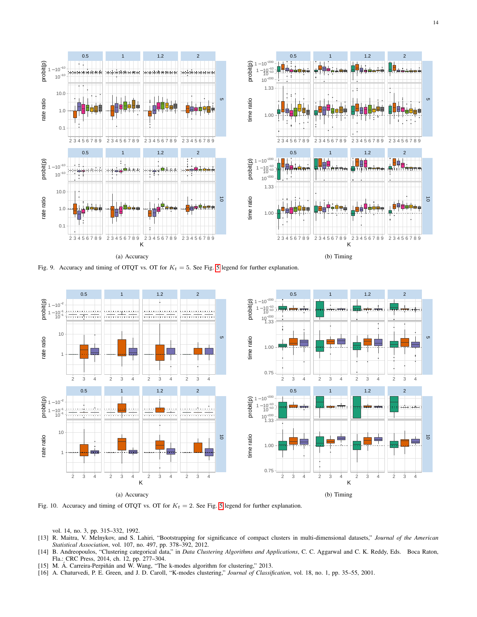

<span id="page-13-4"></span>Fig. 9. Accuracy and timing of OTQT vs. OT for  $K_t = 5$  $K_t = 5$ . See Fig. 5 legend for further explanation.



<span id="page-13-5"></span>Fig. 10. Accuracy and timing of OTQT vs. OT for  $K_t = 2$ . See Fig. [5](#page-9-3) legend for further explanation.

vol. 14, no. 3, pp. 315–332, 1992.

- <span id="page-13-0"></span>[13] R. Maitra, V. Melnykov, and S. Lahiri, "Bootstrapping for significance of compact clusters in multi-dimensional datasets," *Journal of the American Statistical Association*, vol. 107, no. 497, pp. 378–392, 2012.
- <span id="page-13-1"></span>[14] B. Andreopoulos, "Clustering categorical data," in *Data Clustering Algorithms and Applications*, C. C. Aggarwal and C. K. Reddy, Eds. Boca Raton, Fla.: CRC Press, 2014, ch. 12, pp. 277–304.
- <span id="page-13-3"></span>[15] M. Á. Carreira-Perpiñán and W. Wang, "The k-modes algorithm for clustering," 2013.
- <span id="page-13-2"></span>[16] A. Chaturvedi, P. E. Green, and J. D. Caroll, "K-modes clustering," *Journal of Classification*, vol. 18, no. 1, pp. 35–55, 2001.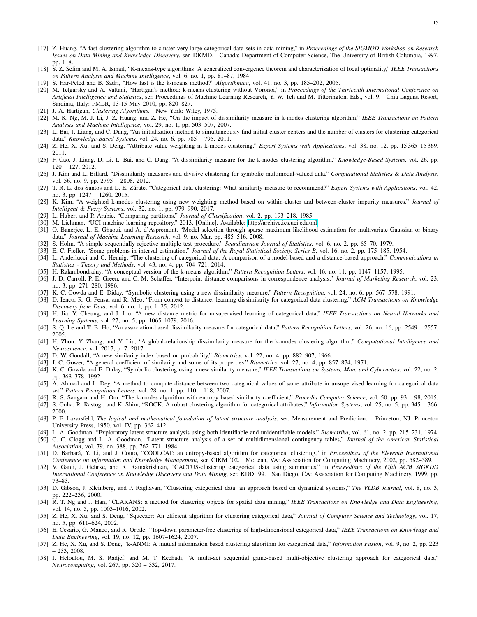- <span id="page-14-0"></span>[17] Z. Huang, "A fast clustering algorithm to cluster very large categorical data sets in data mining," in *Proceedings of the SIGMOD Workshop on Research Issues on Data Mining and Knowledge Discovery*, ser. DKMD. Canada: Department of Computer Science, The University of British Columbia, 1997, pp. 1–8.
- <span id="page-14-1"></span>[18] S. Z. Selim and M. A. Ismail, "K-means-type algorithms: A generalized convergence theorem and characterization of local optimality," *IEEE Transactions on Pattern Analysis and Machine Intelligence*, vol. 6, no. 1, pp. 81–87, 1984.
- <span id="page-14-2"></span>[19] S. Har-Peled and B. Sadri, "How fast is the k-means method?" *Algorithmica*, vol. 41, no. 3, pp. 185–202, 2005.
- <span id="page-14-3"></span>[20] M. Telgarsky and A. Vattani, "Hartigan's method: k-means clustering without Voronoi," in *Proceedings of the Thirteenth International Conference on Artificial Intelligence and Statistics*, ser. Proceedings of Machine Learning Research, Y. W. Teh and M. Titterington, Eds., vol. 9. Chia Laguna Resort, Sardinia, Italy: PMLR, 13-15 May 2010, pp. 820–827.
- <span id="page-14-4"></span>[21] J. A. Hartigan, *Clustering Algorithms*. New York: Wiley, 1975.
- <span id="page-14-5"></span>[22] M. K. Ng, M. J. Li, J. Z. Huang, and Z. He, "On the impact of dissimilarity measure in k-modes clustering algorithm," *IEEE Transactions on Pattern Analysis and Machine Intelligence*, vol. 29, no. 1, pp. 503–507, 2007.
- [23] L. Bai, J. Liang, and C. Dang, "An initialization method to simultaneously find initial cluster centers and the number of clusters for clustering categorical data," *Knowledge-Based Systems*, vol. 24, no. 6, pp. 785 – 795, 2011.
- [24] Z. He, X. Xu, and S. Deng, "Attribute value weighting in k-modes clustering," *Expert Systems with Applications*, vol. 38, no. 12, pp. 15 365–15 369, 2011.
- <span id="page-14-15"></span>[25] F. Cao, J. Liang, D. Li, L. Bai, and C. Dang, "A dissimilarity measure for the k-modes clustering algorithm," *Knowledge-Based Systems*, vol. 26, pp. 120 – 127, 2012.
- <span id="page-14-16"></span>[26] J. Kim and L. Billard, "Dissimilarity measures and divisive clustering for symbolic multimodal-valued data," *Computational Statistics & Data Analysis*, vol. 56, no. 9, pp. 2795 – 2808, 2012.
- <span id="page-14-19"></span>[27] T. R. L. dos Santos and L. E. Zárate, "Categorical data clustering: What similarity measure to recommend?" *Expert Systems with Applications*, vol. 42, no. 3, pp. 1247 – 1260, 2015.
- <span id="page-14-6"></span>[28] K. Kim, "A weighted k-modes clustering using new weighting method based on within-cluster and between-cluster impurity measures." *Journal of Intelligent & Fuzzy Systems*, vol. 32, no. 1, pp. 979–990, 2017.
- <span id="page-14-9"></span>[29] L. Hubert and P. Arabie, "Comparing partitions," *Journal of Classification*, vol. 2, pp. 193–218, 1985.
- <span id="page-14-7"></span>[30] M. Lichman, "UCI machine learning repository," 2013. [Online]. Available:<http://archive.ics.uci.edu/ml>
- <span id="page-14-8"></span>[31] O. Banerjee, L. E. Ghaoui, and A. d'Aspremont, "Model selection through sparse maximum likelihood estimation for multivariate Gaussian or binary data," *Journal of Machine Learning Research*, vol. 9, no. Mar, pp. 485–516, 2008.
- <span id="page-14-10"></span>[32] S. Holm, "A simple sequentially rejective multiple test procedure," *Scandinavian Journal of Statistics*, vol. 6, no. 2, pp. 65–70, 1979.
- <span id="page-14-11"></span>[33] E. C. Fieller, "Some problems in interval estimation," *Journal of the Royal Statistical Society, Series B*, vol. 16, no. 2, pp. 175–185, 1954.
- <span id="page-14-12"></span>[34] L. Anderlucci and C. Hennig, "The clustering of categorical data: A comparison of a model-based and a distance-based approach," *Communications in Statistics - Theory and Methods*, vol. 43, no. 4, pp. 704–721, 2014.
- <span id="page-14-13"></span>[35] H. Ralambondrainy, "A conceptual version of the k-means algorithm," *Pattern Recognition Letters*, vol. 16, no. 11, pp. 1147–1157, 1995.
- <span id="page-14-14"></span>[36] J. D. Carroll, P. E. Green, and C. M. Schaffer, "Interpoint distance comparisons in correspondence analysis," *Journal of Marketing Research*, vol. 23, no. 3, pp. 271–280, 1986.
- <span id="page-14-17"></span>[37] K. C. Gowda and E. Diday, "Symbolic clustering using a new dissimilarity measure," *Pattern Recognition*, vol. 24, no. 6, pp. 567–578, 1991.
- [38] D. Ienco, R. G. Pensa, and R. Meo, "From context to distance: learning dissimilarity for categorical data clustering," *ACM Transactions on Knowledge Discovery from Data*, vol. 6, no. 1, pp. 1–25, 2012.
- [39] H. Jia, Y. Cheung, and J. Liu, "A new distance metric for unsupervised learning of categorical data," *IEEE Transactions on Neural Networks and Learning Systems*, vol. 27, no. 5, pp. 1065–1079, 2016.
- [40] S. Q. Le and T. B. Ho, "An association-based dissimilarity measure for categorical data," *Pattern Recognition Letters*, vol. 26, no. 16, pp. 2549 2557, 2005.
- <span id="page-14-18"></span>[41] H. Zhou, Y. Zhang, and Y. Liu, "A global-relationship dissimilarity measure for the k-modes clustering algorithm," *Computational Intelligence and Neuroscience*, vol. 2017, p. 7, 2017.
- <span id="page-14-20"></span>[42] D. W. Goodall, "A new similarity index based on probability," *Biometrics*, vol. 22, no. 4, pp. 882–907, 1966.
- [43] J. C. Gower, "A general coefficient of similarity and some of its properties," *Biometrics*, vol. 27, no. 4, pp. 857–874, 1971.
- [44] K. C. Gowda and E. Diday, "Symbolic clustering using a new similarity measure," *IEEE Transactions on Systems, Man, and Cybernetics*, vol. 22, no. 2, pp. 368–378, 1992.
- [45] A. Ahmad and L. Dey, "A method to compute distance between two categorical values of same attribute in unsupervised learning for categorical data set," *Pattern Recognition Letters*, vol. 28, no. 1, pp. 110 – 118, 2007.
- <span id="page-14-21"></span>[46] R. S. Sangam and H. Om, "The k-modes algorithm with entropy based similarity coefficient," *Procedia Computer Science*, vol. 50, pp. 93 – 98, 2015.
- <span id="page-14-22"></span>[47] S. Guha, R. Rastogi, and K. Shim, "ROCK: A robust clustering algorithm for categorical attributes," *Information Systems*, vol. 25, no. 5, pp. 345 – 366, 2000.
- <span id="page-14-23"></span>[48] P. F. Lazarsfeld, *The logical and mathematical foundation of latent structure analysis*, ser. Measurement and Prediction. Princeton, NJ: Princeton University Press, 1950, vol. IV, pp. 362–412.
- [49] L. A. Goodman, "Exploratory latent structure analysis using both identifiable and unidentifiable models," *Biometrika*, vol. 61, no. 2, pp. 215–231, 1974. [50] C. C. Clogg and L. A. Goodman, "Latent structure analysis of a set of multidimensional contingency tables," *Journal of the American Statistical Association*, vol. 79, no. 388, pp. 762–771, 1984.
- [51] D. Barbará, Y. Li, and J. Couto, "COOLCAT: an entropy-based algorithm for categorical clustering," in Proceedings of the Eleventh International *Conference on Information and Knowledge Management*, ser. CIKM '02. McLean, VA: Association for Computing Machinery, 2002, pp. 582–589.
- [52] V. Ganti, J. Gehrke, and R. Ramakrishnan, "CACTUS-clustering categorical data using summaries," in *Proceedings of the Fifth ACM SIGKDD International Conference on Knowledge Discovery and Data Mining*, ser. KDD '99. San Diego, CA: Association for Computing Machinery, 1999, pp. 73–83.
- [53] D. Gibson, J. Kleinberg, and P. Raghavan, "Clustering categorical data: an approach based on dynamical systems," *The VLDB Journal*, vol. 8, no. 3, pp. 222–236, 2000.
- [54] R. T. Ng and J. Han, "CLARANS: a method for clustering objects for spatial data mining," *IEEE Transactions on Knowledge and Data Engineering*, vol. 14, no. 5, pp. 1003–1016, 2002.
- [55] Z. He, X. Xu, and S. Deng, "Squeezer: An efficient algorithm for clustering categorical data," *Journal of Computer Science and Technology*, vol. 17, no. 5, pp. 611–624, 2002.
- [56] E. Cesario, G. Manco, and R. Ortale, "Top-down parameter-free clustering of high-dimensional categorical data," *IEEE Transactions on Knowledge and Data Engineering*, vol. 19, no. 12, pp. 1607–1624, 2007.
- [57] Z. He, X. Xu, and S. Deng, "k-ANMI: A mutual information based clustering algorithm for categorical data," *Information Fusion*, vol. 9, no. 2, pp. 223 – 233, 2008.
- [58] I. Heloulou, M. S. Radjef, and M. T. Kechadi, "A multi-act sequential game-based multi-objective clustering approach for categorical data," *Neurocomputing*, vol. 267, pp. 320 – 332, 2017.